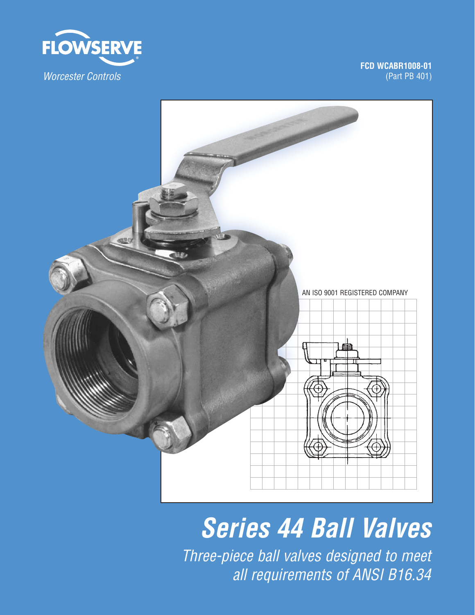

**FCD WCABR1008-01** (Part PB 401)



*Series 44 Ball Valves*

Three-piece ball valves designed to meet all requirements of ANSI B16.34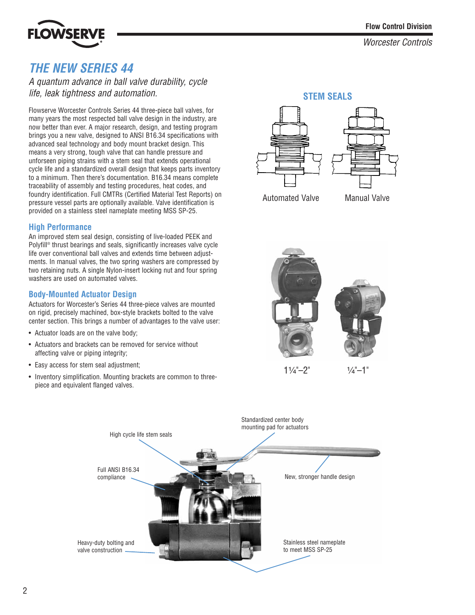# **LOWSE**

Worcester Controls

# *THE NEW SERIES 44*

A quantum advance in ball valve durability, cycle life, leak tightness and automation.

Flowserve Worcester Controls Series 44 three-piece ball valves, for many years the most respected ball valve design in the industry, are now better than ever. A major research, design, and testing program brings you a new valve, designed to ANSI B16.34 specifications with advanced seal technology and body mount bracket design. This means a very strong, tough valve that can handle pressure and unforseen piping strains with a stem seal that extends operational cycle life and a standardized overall design that keeps parts inventory to a minimum. Then there's documentation. B16.34 means complete traceability of assembly and testing procedures, heat codes, and foundry identification. Full CMTRs (Certified Material Test Reports) on pressure vessel parts are optionally available. Valve identification is provided on a stainless steel nameplate meeting MSS SP-25.

## **High Performance**

An improved stem seal design, consisting of live-loaded PEEK and Polyfill® thrust bearings and seals, significantly increases valve cycle life over conventional ball valves and extends time between adjustments. In manual valves, the two spring washers are compressed by two retaining nuts. A single Nylon-insert locking nut and four spring washers are used on automated valves.

## **Body-Mounted Actuator Design**

Actuators for Worcester's Series 44 three-piece valves are mounted on rigid, precisely machined, box-style brackets bolted to the valve center section. This brings a number of advantages to the valve user:

- Actuator loads are on the valve body;
- Actuators and brackets can be removed for service without affecting valve or piping integrity;
- Easy access for stem seal adjustment;
- Inventory simplification. Mounting brackets are common to threepiece and equivalent flanged valves.





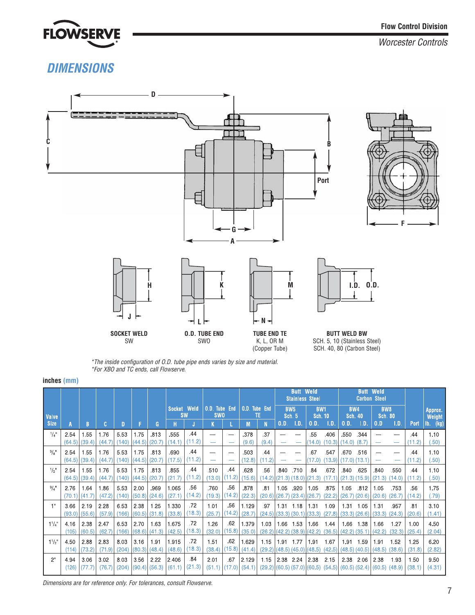

# *DIMENSIONS*



\*The inside configuration of O.D. tube pipe ends varies by size and material. \*For XBO and TC ends, call Flowserve.

#### **inches (mm)**

|                     |                         |                     |                |               |                |                |                          |               |                                    |               | <b>Butt Weld</b><br><b>Stainless Steel</b> |               |                                                                                  | Weld<br><b>Butt</b><br><b>Carbon Steel</b> |                                    |                                    |            |                |                                   |                                                                                          |                |                   |
|---------------------|-------------------------|---------------------|----------------|---------------|----------------|----------------|--------------------------|---------------|------------------------------------|---------------|--------------------------------------------|---------------|----------------------------------------------------------------------------------|--------------------------------------------|------------------------------------|------------------------------------|------------|----------------|-----------------------------------|------------------------------------------------------------------------------------------|----------------|-------------------|
| <b>Valve</b>        |                         |                     |                |               |                |                | Socket Weld<br><b>SW</b> |               | <b>O.D.</b> Tube End<br><b>SWO</b> |               | <b>O.D.</b> Tube End                       | TE.           | <b>BW5</b><br><b>Sch. 5</b>                                                      |                                            | <b>BW1</b><br><b>Sch. 10</b>       |                                    | <b>BW4</b> | <b>Sch. 40</b> | BW <sub>8</sub><br><b>Sch. 80</b> |                                                                                          |                | Approx.<br>Weight |
| <b>Size</b>         |                         | B.                  | c              |               |                | G              | н                        |               | Κ                                  |               | М                                          | N             | 0.D.                                                                             | 1.D.                                       | 0.D.                               | - I.D.                             | 0.D.       | - I.D.         | 0, D                              | 1.D.                                                                                     | <b>Port</b>    | $Ib.$ (kg)        |
| $1/4$ <sup>11</sup> | 2.54<br>(64.5)          | 1.55<br>(39.4)      | 1.76<br>(44.7) | 5.53<br>(140) | 1.75<br>(44.5) | .813<br>(20.7) | 555<br>(14.1)            | .44<br>(11.2) | --                                 |               | .378<br>(9.6)                              | .37<br>(9.4)  |                                                                                  |                                            | .55<br>(14.0)                      | .406<br>$(10.3)$ $(14.0)$ $(8.7)$  | 550        | .344           |                                   |                                                                                          | .44<br>(11,2)  | 1.10<br>(.50)     |
| 3/8"                | 2.54<br>(64.5)          | 1.55<br>(39.4)      | 1.76<br>(44,7) | 5.53<br>(140) | 1.75<br>(44.5) | .813<br>(20.7) | .690<br>(17.5)           | .44<br>(11.2) |                                    |               | .503<br>(12.8)                             | .44<br>(11.2) |                                                                                  |                                            | 67<br>(17.0)                       | .547<br>$(13.9)$ $(17.0)$ $(13.1)$ | .670       | .516           |                                   |                                                                                          | .44<br>(11.2)  | 1.10<br>(.50)     |
| $1/2$ <sup>11</sup> | 2.54<br>$(64.5)$ (39.4) | 1.55                | 1.76<br>(44.7) | 5.53<br>(140) | 1.75<br>(44.5) | .813<br>(20.7) | 855<br>(21.7)            | .44<br>(11.2) | 510<br>(13.0)                      | .44<br>(11.2) | .628<br>(15.6)                             | .56           | .840<br>$(14.2)$ $(21.3)$ $(18.0)$ $(21.3)$                                      | ,710                                       | .84                                | .672<br>$(17.1)$ $(21.3)$ $(15.9)$ | .840       | .625           | .840<br>(21.3)                    | .550<br>(14.0)                                                                           | .44<br>(11.2)  | 1.10<br>(.50)     |
| 3/4"                | 2.76<br>(70.1)          | 1.64<br>$1)$ (41.7) | 1.86<br>(47.2) | 5.53<br>(140) | 2.00<br>(50.8) | .969<br>(24.6) | 1.065<br>(27.1)          | .56<br>(14.2) | .760<br>(19.3)                     | .56<br>(14.2) | .878<br>(22.3)                             | .81<br>(20.6) | 1.05                                                                             | .920                                       | 1.05<br>$(26.7)$ $(23.4)$ $(26.7)$ | .875<br>$(22.2)$ $(26.7)$ $(20.6)$ | 1.05       | .812           | 1.05<br>(20.6)                    | .753<br>(26,7)                                                                           | .56<br>(14.2)  | 1.75<br>(.79)     |
| 1 !!                | 3.66<br>$(93.0)$ (55.6) | 2.19                | 2.28<br>(57.9) | 6.53<br>(166) | 2.38<br>(60.5) | 1.25<br>(31.8) | 1.330<br>(33.8)          | .72<br>(18.3) | 1.01<br>(25.7)                     | .56<br>(14.2) | 1.129<br>(28.7)                            | .97           | 1.31 1.18<br>$(24.5)$ (33.3) (30.1) (33.3)                                       |                                            | 1.31                               | 1.09<br>$(27.8)$ (33.3) (26.6)     |            | 1.31 1.05      | 1.31<br>(33.3)                    | .957<br>(24.3)                                                                           | .81<br>(20.6)  | 3.10<br>(1.41)    |
| $1^{1}/4$ "         | 4.16<br>(105)           | 2.38<br>(60.5)      | 2.47<br>(62,7) | 6.53<br>(166) | 2.70<br>(68.6) | 1.63<br>(41.3) | 1.675<br>(42.5)          | .72<br>(18.3) | 1.26<br>(32.0)                     | .62<br>(15.8) | 1.379<br>(35.0)                            | 1.03          | 1.66 1.53<br>$(26.2)$ $(42.2)$ $(38.9)$ $(42.2)$                                 |                                            | 1.66                               | 1.44<br>$(36.5)$ $(42.2)$ $(35.1)$ |            | 166 138        | 1.66<br>(42.2)                    | 1.27<br>(32,3)                                                                           | 1.00<br>(25.4) | 4.50<br>(2.04)    |
| $1\frac{1}{2}$      | 4.50<br>(114)           | 2.88<br>(73.2)      | 2.83<br>(71.9) | 8.03<br>(204) | 3.16<br>(80.3) | 1.91<br>(48.4) | 1.915<br>(48.6)          | .72<br>(18.3) | 1.51<br>(38.4)                     | .62<br>(15.8) | 1.629<br>(41.4)                            |               | 1.15 1.91 1.77<br>$(29.2)$ $(48.5)$ $(45.0)$ $(48.5)$ $(42.5)$ $(48.5)$ $(40.5)$ |                                            | 1.91                               | 1.67                               |            | 191 159        | 1.91<br>(48.5)                    | 1.52<br>(38.6)                                                                           | 1.25<br>(31.8) | 6.20<br>(2.82)    |
| 2"                  | 4.94<br>(126)           | 3.06<br>(77.7)      | 3.02<br>(76,7) | 8.03<br>(204) | 3.56<br>(90.4) | 2.22<br>(56.3) | 2.406<br>(61.1)          | .84<br>(21.3) | 2.01<br>(51.1)                     | .67<br>(17.0) | 2.129<br>(54.1)                            |               | 1.15 2.38 2.24                                                                   |                                            | 2.38                               | 2.15                               |            | 2 38 2 06      | 2.38                              | 1.93<br>$(29.2)$ $(60.5)$ $(57.0)$ $(60.5)$ $(54.5)$ $(60.5)$ $(52.4)$ $(60.5)$ $(48.9)$ | 1.50<br>(38,1) | 9.50<br>(4.31)    |

Dimensions are for reference only. For tolerances, consult Flowserve.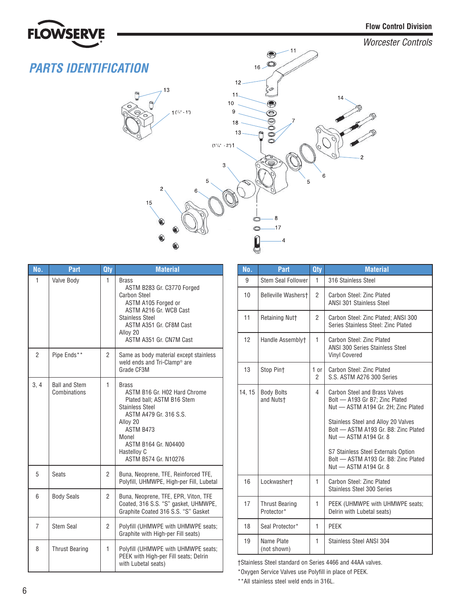

# *PARTS IDENTIFICATION*



| No.            | Part                                 | <b>Qty</b>     | <b>Material</b>                                                                                                                                                                                                          |
|----------------|--------------------------------------|----------------|--------------------------------------------------------------------------------------------------------------------------------------------------------------------------------------------------------------------------|
| 1              | Valve Body                           | 1              | Brass<br>ASTM B283 Gr. C3770 Forged<br><b>Carbon Steel</b><br>ASTM A105 Forged or<br>ASTM A216 Gr. WCB Cast<br><b>Stainless Steel</b><br>ASTM A351 Gr. CF8M Cast<br>Alloy 20<br>ASTM A351 Gr. CN7M Cast                  |
| $\overline{2}$ | Pipe Ends**                          | $\overline{2}$ | Same as body material except stainless<br>weld ends and Tri-Clamp <sup>®</sup> are<br>Grade CF3M                                                                                                                         |
| 3, 4           | <b>Ball and Stem</b><br>Combinations | 1              | Brass<br>ASTM B16 Gr. H02 Hard Chrome<br>Plated ball; ASTM B16 Stem<br><b>Stainless Steel</b><br>ASTM A479 Gr. 316 S.S.<br>Alloy 20<br>ASTM B473<br>Monel<br>ASTM B164 Gr. N04400<br>Hastelloy C<br>ASTM B574 Gr. N10276 |
| 5              | <b>Seats</b>                         | $\overline{2}$ | Buna, Neoprene, TFE, Reinforced TFE,<br>Polyfill, UHMWPE, High-per Fill, Lubetal                                                                                                                                         |
| 6              | <b>Body Seals</b>                    | 2              | Buna, Neoprene, TFE, EPR, Viton, TFE<br>Coated, 316 S.S. "S" gasket, UHMWPE,<br>Graphite Coated 316 S.S. "S" Gasket                                                                                                      |
| $\overline{7}$ | <b>Stem Seal</b>                     | 2              | Polyfill (UHMWPE with UHMWPE seats;<br>Graphite with High-per Fill seats)                                                                                                                                                |
| 8              | <b>Thrust Bearing</b>                | $\mathbf{1}$   | Polyfill (UHMWPE with UHMWPE seats;<br>PEEK with High-per Fill seats; Delrin<br>with Lubetal seats)                                                                                                                      |

| No.    | <b>Part</b>                         | <b>Qty</b>             | <b>Material</b>                                                                                                                               |  |  |  |  |
|--------|-------------------------------------|------------------------|-----------------------------------------------------------------------------------------------------------------------------------------------|--|--|--|--|
| 9      | Stem Seal Follower                  | 1                      | 316 Stainless Steel                                                                                                                           |  |  |  |  |
| 10     | Belleville Washerst                 | $\overline{2}$         | Carbon Steel: Zinc Plated<br><b>ANSI 301 Stainless Steel</b>                                                                                  |  |  |  |  |
| 11     | <b>Retaining Nutt</b>               | $\overline{2}$         | Carbon Steel: Zinc Plated; ANSI 300<br>Series Stainless Steel: Zinc Plated                                                                    |  |  |  |  |
| 12     | Handle Assemblyt                    | 1                      | Carbon Steel: Zinc Plated<br><b>ANSI 300 Series Stainless Steel</b><br><b>Vinyl Covered</b>                                                   |  |  |  |  |
| 13     | Stop Pint                           | 1 or<br>$\overline{2}$ | Carbon Steel: Zinc Plated<br>S.S. ASTM A276 300 Series                                                                                        |  |  |  |  |
| 14, 15 | <b>Body Bolts</b><br>and Nutst      | $\overline{4}$         | Carbon Steel and Brass Valves<br>Bolt - A193 Gr B7; Zinc Plated<br>Nut - ASTM A194 Gr. 2H; Zinc Plated<br>Stainless Steel and Alloy 20 Valves |  |  |  |  |
|        |                                     |                        | Bolt - ASTM A193 Gr. B8: Zinc Plated<br>Nut - ASTM A194 Gr. 8                                                                                 |  |  |  |  |
|        |                                     |                        | S7 Stainless Steel Externals Option<br>Bolt - ASTM A193 Gr. B8: Zinc Plated<br>Nut - ASTM A194 Gr. 8                                          |  |  |  |  |
| 16     | Lockwashert                         | 1                      | Carbon Steel: Zinc Plated<br>Stainless Steel 300 Series                                                                                       |  |  |  |  |
| 17     | <b>Thrust Bearing</b><br>Protector* | 1                      | PEEK (UHMWPE with UHMWPE seats;<br>Delrin with Lubetal seats)                                                                                 |  |  |  |  |
| 18     | Seal Protector*                     | 1                      | PEEK                                                                                                                                          |  |  |  |  |
| 19     | Name Plate<br>(not shown)           | 1                      | Stainless Steel ANSI 304                                                                                                                      |  |  |  |  |

†Stainless Steel standard on Series 4466 and 44AA valves.

\*Oxygen Service Valves use Polyfill in place of PEEK.

\*\*All stainless steel weld ends in 316L.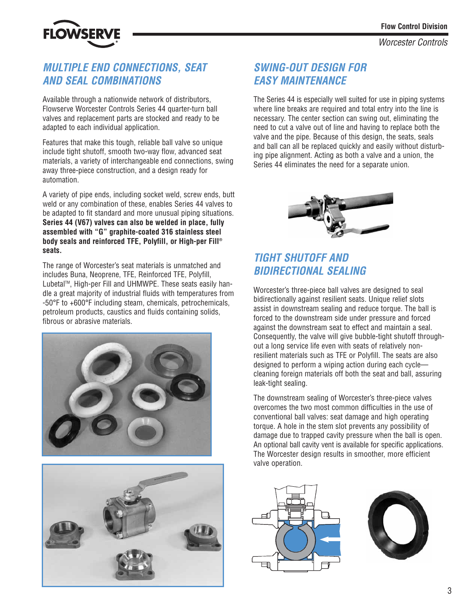

## *MULTIPLE END CONNECTIONS, SEAT AND SEAL COMBINATIONS*

Available through a nationwide network of distributors, Flowserve Worcester Controls Series 44 quarter-turn ball valves and replacement parts are stocked and ready to be adapted to each individual application.

Features that make this tough, reliable ball valve so unique include tight shutoff, smooth two-way flow, advanced seat materials, a variety of interchangeable end connections, swing away three-piece construction, and a design ready for automation.

A variety of pipe ends, including socket weld, screw ends, butt weld or any combination of these, enables Series 44 valves to be adapted to fit standard and more unusual piping situations. **Series 44 (V67) valves can also be welded in place, fully assembled with "G" graphite-coated 316 stainless steel body seals and reinforced TFE, Polyfill, or High-per Fill® seats.**

The range of Worcester's seat materials is unmatched and includes Buna, Neoprene, TFE, Reinforced TFE, Polyfill, Lubetal™, High-per Fill and UHMWPE. These seats easily handle a great majority of industrial fluids with temperatures from -50°F to +600°F including steam, chemicals, petrochemicals, petroleum products, caustics and fluids containing solids, fibrous or abrasive materials.





## *SWING-OUT DESIGN FOR EASY MAINTENANCE*

The Series 44 is especially well suited for use in piping systems where line breaks are required and total entry into the line is necessary. The center section can swing out, eliminating the need to cut a valve out of line and having to replace both the valve and the pipe. Because of this design, the seats, seals and ball can all be replaced quickly and easily without disturbing pipe alignment. Acting as both a valve and a union, the Series 44 eliminates the need for a separate union.



## *TIGHT SHUTOFF AND BIDIRECTIONAL SEALING*

Worcester's three-piece ball valves are designed to seal bidirectionally against resilient seats. Unique relief slots assist in downstream sealing and reduce torque. The ball is forced to the downstream side under pressure and forced against the downstream seat to effect and maintain a seal. Consequently, the valve will give bubble-tight shutoff throughout a long service life even with seats of relatively nonresilient materials such as TFE or Polyfill. The seats are also designed to perform a wiping action during each cycle cleaning foreign materials off both the seat and ball, assuring leak-tight sealing.

The downstream sealing of Worcester's three-piece valves overcomes the two most common difficulties in the use of conventional ball valves: seat damage and high operating torque. A hole in the stem slot prevents any possibility of damage due to trapped cavity pressure when the ball is open. An optional ball cavity vent is available for specific applications. The Worcester design results in smoother, more efficient valve operation.



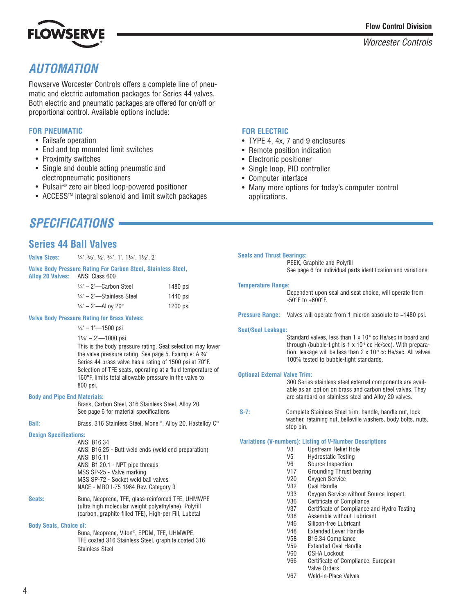

# *AUTOMATION*

Flowserve Worcester Controls offers a complete line of pneumatic and electric automation packages for Series 44 valves. Both electric and pneumatic packages are offered for on/off or proportional control. Available options include:

## **FOR PNEUMATIC**

- Failsafe operation
- End and top mounted limit switches
- Proximity switches
- Single and double acting pneumatic and electropneumatic positioners
- Pulsair® zero air bleed loop-powered positioner
- ACCESSTM integral solenoid and limit switch packages

## **FOR ELECTRIC**

- TYPE 4, 4x, 7 and 9 enclosures
- Remote position indication
- Electronic positioner
- Single loop, PID controller
- Computer interface
- Many more options for today's computer control applications.

# *SPECIFICATIONS*

## **Series 44 Ball Valves**

| <b>Valve Sizes:</b>                                                                  | $\frac{1}{4}$ , $\frac{3}{8}$ , $\frac{1}{2}$ , $\frac{3}{4}$ , $\frac{1}{4}$ , $\frac{1}{4}$ , $\frac{1}{4}$ , $\frac{1}{2}$ , $\frac{1}{2}$                                                                                                                                                                                                                                                                                                                                                                                                                               |                                  | <b>Seals and Thrust Bearings:</b>                                                                                                                                                                                                                                                                                                                                                                                                                                                                                                                                                                                                                                                                                                                | PEEK, Graphite and Polyfill                                                                                                                                                                                                                                                                                                                                                                                                                                                                                                                                                                                                                                                                           |  |  |
|--------------------------------------------------------------------------------------|-----------------------------------------------------------------------------------------------------------------------------------------------------------------------------------------------------------------------------------------------------------------------------------------------------------------------------------------------------------------------------------------------------------------------------------------------------------------------------------------------------------------------------------------------------------------------------|----------------------------------|--------------------------------------------------------------------------------------------------------------------------------------------------------------------------------------------------------------------------------------------------------------------------------------------------------------------------------------------------------------------------------------------------------------------------------------------------------------------------------------------------------------------------------------------------------------------------------------------------------------------------------------------------------------------------------------------------------------------------------------------------|-------------------------------------------------------------------------------------------------------------------------------------------------------------------------------------------------------------------------------------------------------------------------------------------------------------------------------------------------------------------------------------------------------------------------------------------------------------------------------------------------------------------------------------------------------------------------------------------------------------------------------------------------------------------------------------------------------|--|--|
| Alloy 20 Valves: ANSI Class 600                                                      | Valve Body Pressure Rating For Carbon Steel, Stainless Steel,                                                                                                                                                                                                                                                                                                                                                                                                                                                                                                               |                                  |                                                                                                                                                                                                                                                                                                                                                                                                                                                                                                                                                                                                                                                                                                                                                  | See page 6 for individual parts identification and variations.                                                                                                                                                                                                                                                                                                                                                                                                                                                                                                                                                                                                                                        |  |  |
|                                                                                      | $1/4" - 2"$ -Carbon Steel<br>$1/4"$ - 2"-Stainless Steel<br>$1/4" - 2"$ —Alloy 20®                                                                                                                                                                                                                                                                                                                                                                                                                                                                                          | 1480 psi<br>1440 psi<br>1200 psi | <b>Temperature Range:</b>                                                                                                                                                                                                                                                                                                                                                                                                                                                                                                                                                                                                                                                                                                                        | Dependent upon seal and seat choice, will operate from<br>$-50^{\circ}$ F to $+600^{\circ}$ F.                                                                                                                                                                                                                                                                                                                                                                                                                                                                                                                                                                                                        |  |  |
|                                                                                      | <b>Valve Body Pressure Rating for Brass Valves:</b>                                                                                                                                                                                                                                                                                                                                                                                                                                                                                                                         |                                  |                                                                                                                                                                                                                                                                                                                                                                                                                                                                                                                                                                                                                                                                                                                                                  | Pressure Range: Valves will operate from 1 micron absolute to +1480 psi.                                                                                                                                                                                                                                                                                                                                                                                                                                                                                                                                                                                                                              |  |  |
| <b>Body and Pipe End Materials:</b><br><b>Ball:</b><br><b>Design Specifications:</b> | $\frac{1}{4}$ " - 1"-1500 psi<br>$1\frac{1}{4}$ " - 2"-1000 psi<br>This is the body pressure rating. Seat selection may lower<br>the valve pressure rating. See page 5. Example: A 3/4"<br>Series 44 brass valve has a rating of 1500 psi at 70°F.<br>Selection of TFE seats, operating at a fluid temperature of<br>160°F, limits total allowable pressure in the valve to<br>800 psi.<br>Brass, Carbon Steel, 316 Stainless Steel, Alloy 20<br>See page 6 for material specifications<br>Brass, 316 Stainless Steel, Monel®, Alloy 20, Hastelloy C®<br><b>ANSI B16.34</b> |                                  | <b>Seat/Seal Leakage:</b><br>Standard valves, less than $1 \times 10$ <sup>6</sup> cc He/sec in board and<br>through (bubble-tight is $1 \times 10^4$ cc He/sec). With prepara-<br>tion, leakage will be less than $2 \times 10^9$ cc He/sec. All valves<br>100% tested to bubble-tight standards.<br><b>Optional External Valve Trim:</b><br>300 Series stainless steel external components are avail-<br>able as an option on brass and carbon steel valves. They<br>are standard on stainless steel and Alloy 20 valves.<br>$S-7:$<br>Complete Stainless Steel trim: handle, handle nut, lock<br>washer, retaining nut, belleville washers, body bolts, nuts,<br>stop pin.<br><b>Variations (V-numbers): Listing of V-Number Descriptions</b> |                                                                                                                                                                                                                                                                                                                                                                                                                                                                                                                                                                                                                                                                                                       |  |  |
| Seats:<br><b>Body Seals, Choice of:</b>                                              | ANSI B16.25 - Butt weld ends (weld end preparation)<br><b>ANSI B16.11</b><br>ANSI B1.20.1 - NPT pipe threads<br>MSS SP-25 - Valve marking<br>MSS SP-72 - Socket weld ball valves<br>NACE - MRO I-75 1984 Rev. Category 3<br>Buna, Neoprene, TFE, glass-reinforced TFE, UHMWPE<br>(ultra high molecular weight polyethylene), Polyfill<br>(carbon, graphite filled TFE), High-per Fill, Lubetal<br>Buna, Neoprene, Viton®, EPDM, TFE, UHMWPE,<br>TFE coated 316 Stainless Steel, graphite coated 316<br><b>Stainless Steel</b>                                               |                                  |                                                                                                                                                                                                                                                                                                                                                                                                                                                                                                                                                                                                                                                                                                                                                  | <b>Upstream Relief Hole</b><br>V3<br>V <sub>5</sub><br><b>Hydrostatic Testing</b><br>V6<br>Source Inspection<br>V17<br><b>Grounding Thrust bearing</b><br>Oxygen Service<br>V20<br>V32<br>Oval Handle<br>Oxygen Service without Source Inspect.<br>V33<br>V36<br>Certificate of Compliance<br>V <sub>37</sub><br>Certificate of Compliance and Hydro Testing<br>V38<br>Assemble without Lubricant<br>V46<br>Silicon-free Lubricant<br>V48<br><b>Extended Lever Handle</b><br>V <sub>58</sub><br>B16.34 Compliance<br>V <sub>59</sub><br><b>Extended Oval Handle</b><br>V60<br><b>OSHA Lockout</b><br><b>V66</b><br>Certificate of Compliance, European<br>Valve Orders<br>V67<br>Weld-in-Place Valves |  |  |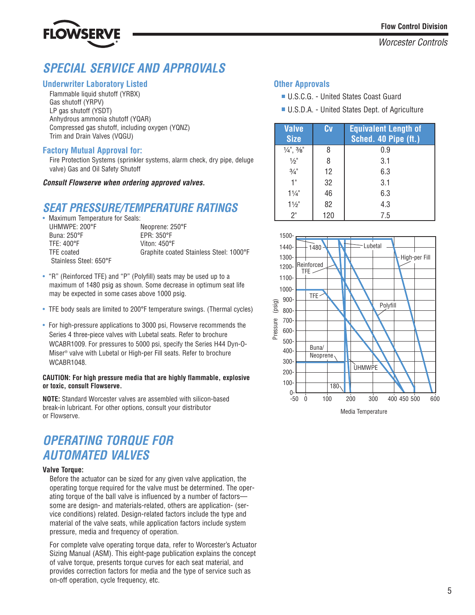



# *SPECIAL SERVICE AND APPROVALS*

### **Underwriter Laboratory Listed**

Flammable liquid shutoff (YRBX) Gas shutoff (YRPV) LP gas shutoff (YSDT) Anhydrous ammonia shutoff (YQAR) Compressed gas shutoff, including oxygen (YQNZ) Trim and Drain Valves (VQGU)

## **Factory Mutual Approval for:**

Fire Protection Systems (sprinkler systems, alarm check, dry pipe, deluge valve) Gas and Oil Safety Shutoff

#### *Consult Flowserve when ordering approved valves.*

## *SEAT PRESSURE/TEMPERATURE RATINGS*

• Maximum Temperature for Seals:<br>UHMWPE: 200°F UHMWPE: 200°F Neoprene: 250°F<br>Buna: 250°F 100°F EPR: 350°F TFE: 400°F Viton: 450°F Stainless Steel: 650°F

Buna: 250°F EPR: 350°F TFE coated Graphite coated Stainless Steel: 1000°F

- "R" (Reinforced TFE) and "P" (Polyfill) seats may be used up to a maximum of 1480 psig as shown. Some decrease in optimum seat life may be expected in some cases above 1000 psig.
- TFE body seals are limited to 200°F temperature swings. (Thermal cycles)
- For high-pressure applications to 3000 psi, Flowserve recommends the Series 4 three-piece valves with Lubetal seats. Refer to brochure WCABR1009. For pressures to 5000 psi, specify the Series H44 Dyn-O-Miser® valve with Lubetal or High-per Fill seats. Refer to brochure WCABR1048.

#### **CAUTION: For high pressure media that are highly flammable, explosive or toxic, consult Flowserve.**

**NOTE:** Standard Worcester valves are assembled with silicon-based break-in lubricant. For other options, consult your distributor or Flowserve.

# *OPERATING TORQUE FOR AUTOMATED VALVES*

#### **Valve Torque:**

Before the actuator can be sized for any given valve application, the operating torque required for the valve must be determined. The operating torque of the ball valve is influenced by a number of factors some are design- and materials-related, others are application- (service conditions) related. Design-related factors include the type and material of the valve seats, while application factors include system pressure, media and frequency of operation.

For complete valve operating torque data, refer to Worcester's Actuator Sizing Manual (ASM). This eight-page publication explains the concept of valve torque, presents torque curves for each seat material, and provides correction factors for media and the type of service such as on-off operation, cycle frequency, etc.

## **Other Approvals**

- U.S.C.G. United States Coast Guard
- U.S.D.A. United States Dept. of Agriculture

| <b>Valve</b><br><b>Size</b>     | Cv  | <b>Equivalent Length of</b><br>Sched. 40 Pipe (ft.) |
|---------------------------------|-----|-----------------------------------------------------|
| $\frac{1}{4}$ , $\frac{3}{8}$ " | 8   | 0.9                                                 |
| $\frac{1}{2}$                   |     | 3.1                                                 |
| $\frac{3}{4}$ "                 | 12  | 6.3                                                 |
| 1"                              | 32  | 3.1                                                 |
| $11/4$ "                        | 46  | 6.3                                                 |
| $1\frac{1}{2}$                  | 82  | 4.3                                                 |
| 2"                              | 120 | 7.5                                                 |



Media Temperature